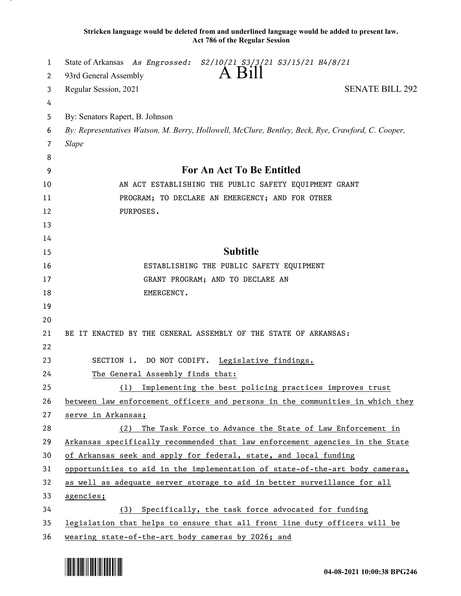**Stricken language would be deleted from and underlined language would be added to present law. Act 786 of the Regular Session**

| 1  | State of Arkansas As Engrossed: S2/10/21_S3/3/21 S3/15/21 H4/8/21                                  |
|----|----------------------------------------------------------------------------------------------------|
| 2  | A Bill<br>93rd General Assembly                                                                    |
| 3  | <b>SENATE BILL 292</b><br>Regular Session, 2021                                                    |
| 4  |                                                                                                    |
| 5  | By: Senators Rapert, B. Johnson                                                                    |
| 6  | By: Representatives Watson, M. Berry, Hollowell, McClure, Bentley, Beck, Rye, Crawford, C. Cooper, |
| 7  | <b>Slape</b>                                                                                       |
| 8  |                                                                                                    |
| 9  | For An Act To Be Entitled                                                                          |
| 10 | AN ACT ESTABLISHING THE PUBLIC SAFETY EQUIPMENT GRANT                                              |
| 11 | PROGRAM; TO DECLARE AN EMERGENCY; AND FOR OTHER                                                    |
| 12 | PURPOSES.                                                                                          |
| 13 |                                                                                                    |
| 14 |                                                                                                    |
| 15 | <b>Subtitle</b>                                                                                    |
| 16 | ESTABLISHING THE PUBLIC SAFETY EQUIPMENT                                                           |
| 17 | GRANT PROGRAM; AND TO DECLARE AN                                                                   |
| 18 | EMERGENCY.                                                                                         |
| 19 |                                                                                                    |
| 20 |                                                                                                    |
| 21 | BE IT ENACTED BY THE GENERAL ASSEMBLY OF THE STATE OF ARKANSAS:                                    |
| 22 |                                                                                                    |
| 23 | SECTION 1. DO NOT CODIFY. Legislative findings.                                                    |
| 24 | The General Assembly finds that:                                                                   |
| 25 | Implementing the best policing practices improves trust<br>(1)                                     |
| 26 | between law enforcement officers and persons in the communities in which they                      |
| 27 | serve in Arkansas;                                                                                 |
| 28 | The Task Force to Advance the State of Law Enforcement in<br>(2)                                   |
| 29 | Arkansas specifically recommended that law enforcement agencies in the State                       |
| 30 | of Arkansas seek and apply for federal, state, and local funding                                   |
| 31 | opportunities to aid in the implementation of state-of-the-art body cameras,                       |
| 32 | as well as adequate server storage to aid in better surveillance for all                           |
| 33 | agencies;                                                                                          |
| 34 | Specifically, the task force advocated for funding<br>(3)                                          |
| 35 | legislation that helps to ensure that all front line duty officers will be                         |
| 36 | wearing state-of-the-art body cameras by 2026; and                                                 |

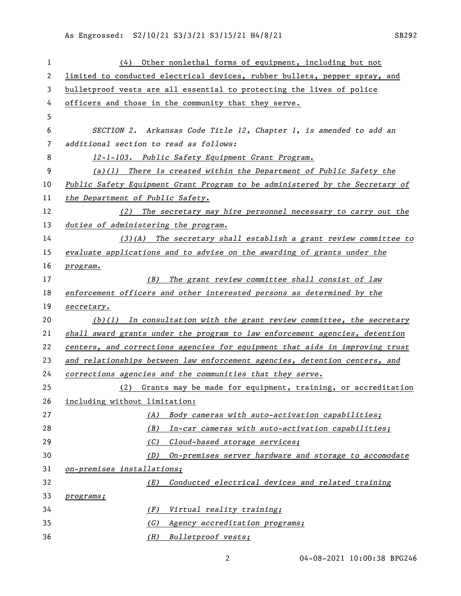As Engrossed: S2/10/21 S3/3/21 S3/15/21 H4/8/21 SB292

| $\mathbf{1}$ | Other nonlethal forms of equipment, including but not<br>(4)                 |
|--------------|------------------------------------------------------------------------------|
| 2            | limited to conducted electrical devices, rubber bullets, pepper spray, and   |
| 3            | bulletproof vests are all essential to protecting the lives of police        |
| 4            | officers and those in the community that they serve.                         |
| 5            |                                                                              |
| 6            | SECTION 2. Arkansas Code Title 12, Chapter 1, is amended to add an           |
| 7            | additional section to read as follows:                                       |
| 8            | 12-1-103. Public Safety Equipment Grant Program.                             |
| 9            | $(a)(1)$ There is created within the Department of Public Safety the         |
| 10           | Public Safety Equipment Grant Program to be administered by the Secretary of |
| 11           | the Department of Public Safety.                                             |
| 12           | The secretary may hire personnel necessary to carry out the<br>(2)           |
| 13           | duties of administering the program.                                         |
| 14           | $(3)$ (A) The secretary shall establish a grant review committee to          |
| 15           | evaluate applications and to advise on the awarding of grants under the      |
| 16           | program.                                                                     |
| 17           | (B) The grant review committee shall consist of law                          |
| 18           | enforcement officers and other interested persons as determined by the       |
| 19           | secretary.                                                                   |
| 20           | $(b)(1)$ In consultation with the grant review committee, the secretary      |
| 21           | shall award grants under the program to law enforcement agencies, detention  |
| 22           | centers, and corrections agencies for equipment that aids in improving trust |
| 23           | and relationships between law enforcement agencies, detention centers, and   |
| 24           | corrections agencies and the communities that they serve.                    |
| 25           | (2) Grants may be made for equipment, training, or accreditation             |
| 26           | including without limitation:                                                |
| 27           | Body cameras with auto-activation capabilities;<br>(A)                       |
| 28           | (B)<br>In-car cameras with auto-activation capabilities;                     |
| 29           | (C)<br>Cloud-based storage services;                                         |
| 30           | On-premises server hardware and storage to accomodate<br>(D)                 |
| 31           | on-premises installations;                                                   |
| 32           | Conducted electrical devices and related training<br>(E)                     |
| 33           | programs;                                                                    |
| 34           | Virtual reality training;<br>(F)                                             |
| 35           | (G)<br>Agency accreditation programs;                                        |
| 36           | (H)<br>Bulletproof vests;                                                    |

04-08-2021 10:00:38 BPG246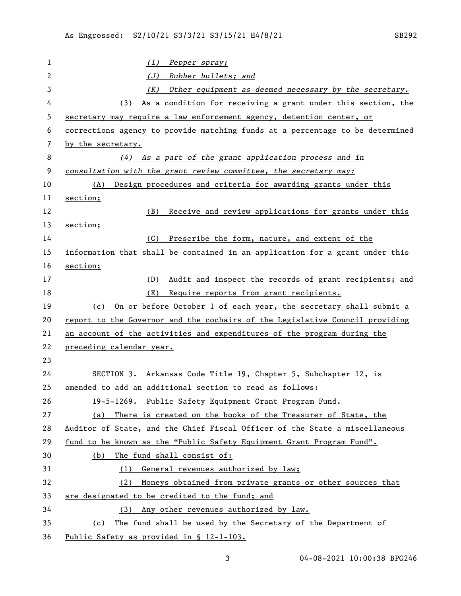*(I) Pepper spray; (J) Rubber bullets; and (K) Other equipment as deemed necessary by the secretary.* (3) As a condition for receiving a grant under this section, the secretary may require a law enforcement agency, detention center, or corrections agency to provide matching funds at a percentage to be determined by the secretary. *(4) As a part of the grant application process and in consultation with the grant review committee, the secretary may:* (A) Design procedures and criteria for awarding grants under this section; (B) Receive and review applications for grants under this section; (C) Prescribe the form, nature, and extent of the information that shall be contained in an application for a grant under this section; (D) Audit and inspect the records of grant recipients; and (E) Require reports from grant recipients. (c) On or before October 1 of each year, the secretary shall submit a report to the Governor and the cochairs of the Legislative Council providing an account of the activities and expenditures of the program during the preceding calendar year. SECTION 3. Arkansas Code Title 19, Chapter 5, Subchapter 12, is amended to add an additional section to read as follows: 19-5-1269. Public Safety Equipment Grant Program Fund. (a) There is created on the books of the Treasurer of State, the Auditor of State, and the Chief Fiscal Officer of the State a miscellaneous fund to be known as the "Public Safety Equipment Grant Program Fund". (b) The fund shall consist of: (1) General revenues authorized by law; (2) Moneys obtained from private grants or other sources that are designated to be credited to the fund; and (3) Any other revenues authorized by law. (c) The fund shall be used by the Secretary of the Department of Public Safety as provided in § 12-1-103.